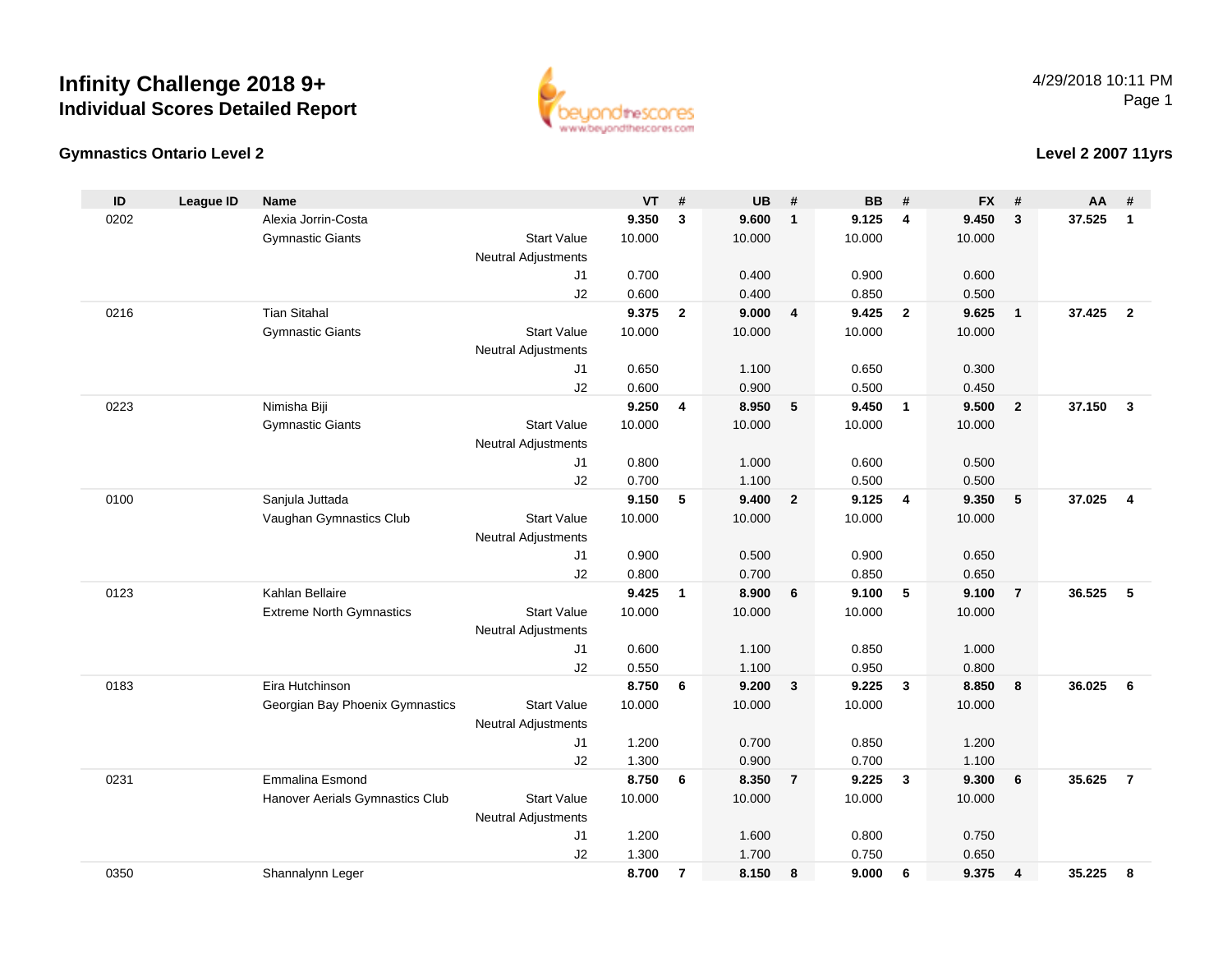

#### **Gymnastics Ontario Level 2**

**Level 2 2007 11yrs**

| ID   | <b>League ID</b> | Name                            |                            | <b>VT</b> | #              | <b>UB</b> | #              | <b>BB</b> | #                       | <b>FX</b> | #              | AA     | #              |
|------|------------------|---------------------------------|----------------------------|-----------|----------------|-----------|----------------|-----------|-------------------------|-----------|----------------|--------|----------------|
| 0202 |                  | Alexia Jorrin-Costa             |                            | 9.350     | $\mathbf{3}$   | 9.600     | $\overline{1}$ | 9.125     | $\overline{4}$          | 9.450     | $\mathbf{3}$   | 37.525 | $\mathbf{1}$   |
|      |                  | <b>Gymnastic Giants</b>         | <b>Start Value</b>         | 10.000    |                | 10.000    |                | 10.000    |                         | 10.000    |                |        |                |
|      |                  |                                 | <b>Neutral Adjustments</b> |           |                |           |                |           |                         |           |                |        |                |
|      |                  |                                 | J1                         | 0.700     |                | 0.400     |                | 0.900     |                         | 0.600     |                |        |                |
|      |                  |                                 | J2                         | 0.600     |                | 0.400     |                | 0.850     |                         | 0.500     |                |        |                |
| 0216 |                  | <b>Tian Sitahal</b>             |                            | 9.375     | $\overline{2}$ | 9.000     | $\overline{4}$ | 9.425     | $\overline{2}$          | 9.625     | $\overline{1}$ | 37.425 | $\overline{2}$ |
|      |                  | <b>Gymnastic Giants</b>         | <b>Start Value</b>         | 10.000    |                | 10.000    |                | 10.000    |                         | 10.000    |                |        |                |
|      |                  |                                 | <b>Neutral Adjustments</b> |           |                |           |                |           |                         |           |                |        |                |
|      |                  |                                 | J1                         | 0.650     |                | 1.100     |                | 0.650     |                         | 0.300     |                |        |                |
|      |                  |                                 | J2                         | 0.600     |                | 0.900     |                | 0.500     |                         | 0.450     |                |        |                |
| 0223 |                  | Nimisha Biji                    |                            | 9.250     | 4              | 8.950     | - 5            | 9.450     | $\overline{1}$          | 9.500     | $\overline{2}$ | 37.150 | $\mathbf{3}$   |
|      |                  | <b>Gymnastic Giants</b>         | <b>Start Value</b>         | 10.000    |                | 10.000    |                | 10.000    |                         | 10.000    |                |        |                |
|      |                  |                                 | <b>Neutral Adjustments</b> |           |                |           |                |           |                         |           |                |        |                |
|      |                  |                                 | J1                         | 0.800     |                | 1.000     |                | 0.600     |                         | 0.500     |                |        |                |
|      |                  |                                 | J2                         | 0.700     |                | 1.100     |                | 0.500     |                         | 0.500     |                |        |                |
| 0100 |                  | Sanjula Juttada                 |                            | 9.150     | 5              | 9.400     | $\overline{2}$ | 9.125     | $\overline{4}$          | 9.350     | 5              | 37.025 | 4              |
|      |                  | Vaughan Gymnastics Club         | <b>Start Value</b>         | 10.000    |                | 10.000    |                | 10.000    |                         | 10.000    |                |        |                |
|      |                  |                                 | <b>Neutral Adjustments</b> |           |                |           |                |           |                         |           |                |        |                |
|      |                  |                                 | J <sub>1</sub>             | 0.900     |                | 0.500     |                | 0.900     |                         | 0.650     |                |        |                |
|      |                  |                                 | J2                         | 0.800     |                | 0.700     |                | 0.850     |                         | 0.650     |                |        |                |
| 0123 |                  | Kahlan Bellaire                 |                            | 9.425     | $\mathbf{1}$   | 8.900     | 6              | 9.100     | 5                       | 9.100     | $\overline{7}$ | 36.525 | 5              |
|      |                  | <b>Extreme North Gymnastics</b> | <b>Start Value</b>         | 10.000    |                | 10.000    |                | 10.000    |                         | 10.000    |                |        |                |
|      |                  |                                 | <b>Neutral Adjustments</b> |           |                |           |                |           |                         |           |                |        |                |
|      |                  |                                 | J <sub>1</sub>             | 0.600     |                | 1.100     |                | 0.850     |                         | 1.000     |                |        |                |
|      |                  |                                 | J2                         | 0.550     |                | 1.100     |                | 0.950     |                         | 0.800     |                |        |                |
| 0183 |                  | Eira Hutchinson                 |                            | 8.750     | 6              | 9.200     | $\mathbf{3}$   | 9.225     | $\mathbf{3}$            | 8.850     | 8              | 36.025 | 6              |
|      |                  | Georgian Bay Phoenix Gymnastics | <b>Start Value</b>         | 10.000    |                | 10.000    |                | 10.000    |                         | 10.000    |                |        |                |
|      |                  |                                 | <b>Neutral Adjustments</b> |           |                |           |                |           |                         |           |                |        |                |
|      |                  |                                 | J <sub>1</sub>             | 1.200     |                | 0.700     |                | 0.850     |                         | 1.200     |                |        |                |
|      |                  |                                 | J2                         | 1.300     |                | 0.900     |                | 0.700     |                         | 1.100     |                |        |                |
| 0231 |                  | Emmalina Esmond                 |                            | 8.750     | 6              | 8.350     | $\overline{7}$ | 9.225     | $\overline{\mathbf{3}}$ | 9.300     | 6              | 35.625 | $\overline{7}$ |
|      |                  | Hanover Aerials Gymnastics Club | <b>Start Value</b>         | 10.000    |                | 10.000    |                | 10.000    |                         | 10.000    |                |        |                |
|      |                  |                                 | <b>Neutral Adjustments</b> |           |                |           |                |           |                         |           |                |        |                |
|      |                  |                                 | J <sub>1</sub>             | 1.200     |                | 1.600     |                | 0.800     |                         | 0.750     |                |        |                |
|      |                  |                                 | J2                         | 1.300     |                | 1.700     |                | 0.750     |                         | 0.650     |                |        |                |
| 0350 |                  | Shannalynn Leger                |                            | 8.700     | $\overline{7}$ | 8.150     | 8              | 9.000     | 6                       | 9.375     | $\overline{4}$ | 35.225 | 8              |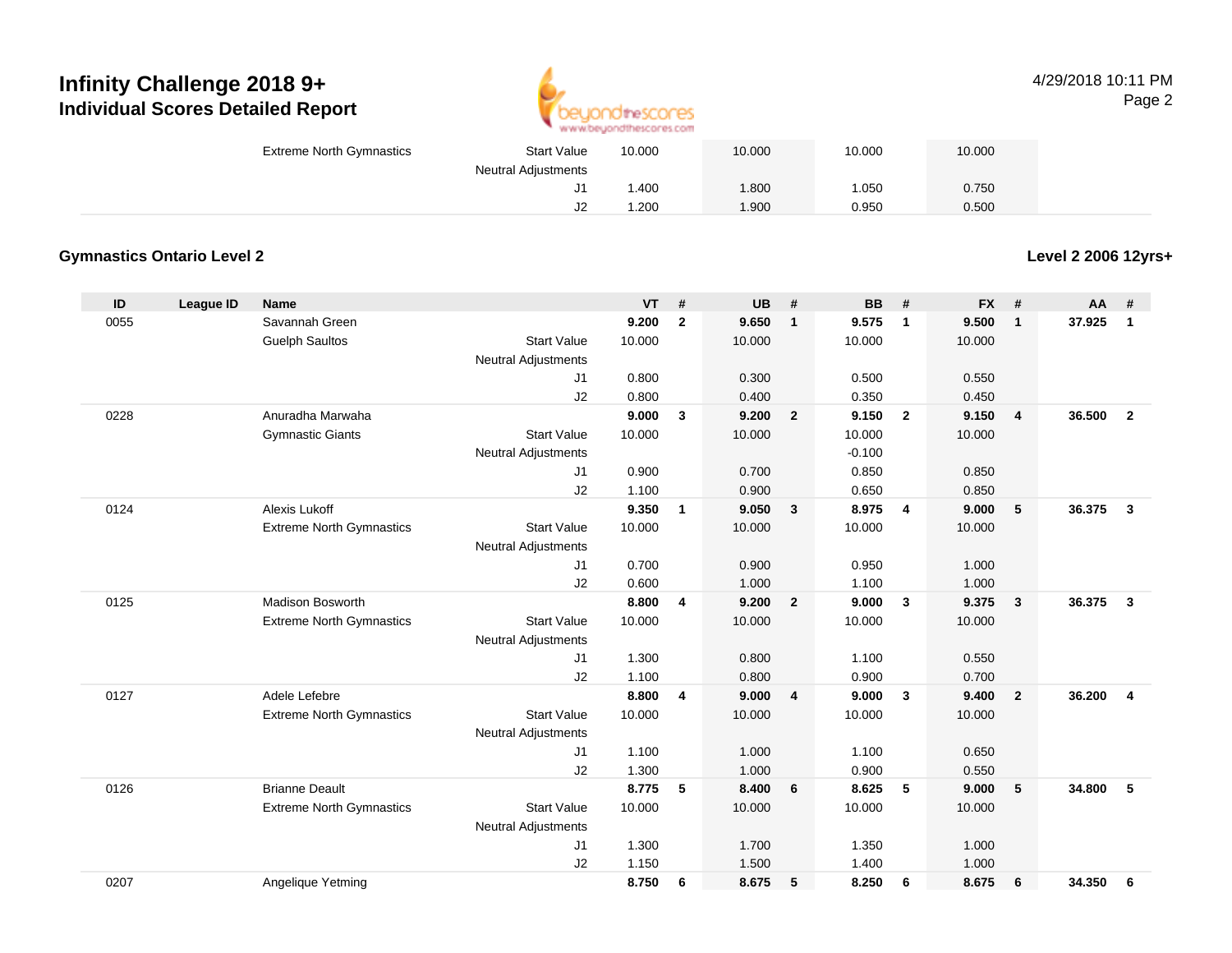

#### 4/29/2018 10:11 PMPage 2

| <b>Extreme North Gymnastics</b> | <b>Start Value</b>         | 10.000 | 10.000 | 10.000 | 10.000 |
|---------------------------------|----------------------------|--------|--------|--------|--------|
|                                 | <b>Neutral Adjustments</b> |        |        |        |        |
|                                 |                            | .400   | 1.800  | .050   | 0.750  |
|                                 | J2                         | .200   | 1.900  | 0.950  | 0.500  |

#### **Gymnastics Ontario Level 2**

**Level 2 2006 12yrs+**

| ID   | League ID | <b>Name</b>                     |                            | <b>VT</b> | #            | <b>UB</b> | #              | <b>BB</b> | #                       | <b>FX</b> | #              | <b>AA</b> | #              |
|------|-----------|---------------------------------|----------------------------|-----------|--------------|-----------|----------------|-----------|-------------------------|-----------|----------------|-----------|----------------|
| 0055 |           | Savannah Green                  |                            | 9.200     | $\mathbf{2}$ | 9.650     | $\mathbf{1}$   | 9.575     | $\overline{1}$          | 9.500     | $\mathbf{1}$   | 37.925    | $\mathbf{1}$   |
|      |           | <b>Guelph Saultos</b>           | <b>Start Value</b>         | 10.000    |              | 10.000    |                | 10.000    |                         | 10.000    |                |           |                |
|      |           |                                 | Neutral Adjustments        |           |              |           |                |           |                         |           |                |           |                |
|      |           |                                 | J1                         | 0.800     |              | 0.300     |                | 0.500     |                         | 0.550     |                |           |                |
|      |           |                                 | J2                         | 0.800     |              | 0.400     |                | 0.350     |                         | 0.450     |                |           |                |
| 0228 |           | Anuradha Marwaha                |                            | 9.000     | 3            | 9.200     | $\overline{2}$ | 9.150     | $\overline{\mathbf{2}}$ | 9.150     | $\overline{4}$ | 36.500    | $\overline{2}$ |
|      |           | <b>Gymnastic Giants</b>         | <b>Start Value</b>         | 10.000    |              | 10.000    |                | 10.000    |                         | 10.000    |                |           |                |
|      |           |                                 | <b>Neutral Adjustments</b> |           |              |           |                | $-0.100$  |                         |           |                |           |                |
|      |           |                                 | J1                         | 0.900     |              | 0.700     |                | 0.850     |                         | 0.850     |                |           |                |
|      |           |                                 | J2                         | 1.100     |              | 0.900     |                | 0.650     |                         | 0.850     |                |           |                |
| 0124 |           | Alexis Lukoff                   |                            | 9.350     | $\mathbf{1}$ | 9.050     | $\mathbf{3}$   | 8.975     | $\overline{4}$          | 9.000     | 5              | 36.375    | $\mathbf{3}$   |
|      |           | <b>Extreme North Gymnastics</b> | <b>Start Value</b>         | 10.000    |              | 10.000    |                | 10.000    |                         | 10.000    |                |           |                |
|      |           |                                 | Neutral Adjustments        |           |              |           |                |           |                         |           |                |           |                |
|      |           |                                 | J1                         | 0.700     |              | 0.900     |                | 0.950     |                         | 1.000     |                |           |                |
|      |           |                                 | J2                         | 0.600     |              | 1.000     |                | 1.100     |                         | 1.000     |                |           |                |
| 0125 |           | <b>Madison Bosworth</b>         |                            | 8.800     | 4            | 9.200     | $\overline{2}$ | 9.000     | $\overline{\mathbf{3}}$ | 9.375     | $\mathbf{3}$   | 36.375    | $\mathbf{3}$   |
|      |           | <b>Extreme North Gymnastics</b> | <b>Start Value</b>         | 10.000    |              | 10.000    |                | 10.000    |                         | 10.000    |                |           |                |
|      |           |                                 | Neutral Adjustments        |           |              |           |                |           |                         |           |                |           |                |
|      |           |                                 | J1                         | 1.300     |              | 0.800     |                | 1.100     |                         | 0.550     |                |           |                |
|      |           |                                 | J2                         | 1.100     |              | 0.800     |                | 0.900     |                         | 0.700     |                |           |                |
| 0127 |           | Adele Lefebre                   |                            | 8.800     | 4            | 9.000     | $\overline{4}$ | 9.000     | $\mathbf{3}$            | 9.400     | $\overline{2}$ | 36.200    | $\overline{4}$ |
|      |           | <b>Extreme North Gymnastics</b> | <b>Start Value</b>         | 10.000    |              | 10.000    |                | 10.000    |                         | 10.000    |                |           |                |
|      |           |                                 | <b>Neutral Adjustments</b> |           |              |           |                |           |                         |           |                |           |                |
|      |           |                                 | J1                         | 1.100     |              | 1.000     |                | 1.100     |                         | 0.650     |                |           |                |
|      |           |                                 | J2                         | 1.300     |              | 1.000     |                | 0.900     |                         | 0.550     |                |           |                |
| 0126 |           | <b>Brianne Deault</b>           |                            | 8.775     | 5            | 8.400     | 6              | 8.625     | 5                       | 9.000     | 5              | 34.800    | 5              |
|      |           | <b>Extreme North Gymnastics</b> | <b>Start Value</b>         | 10.000    |              | 10.000    |                | 10.000    |                         | 10.000    |                |           |                |
|      |           |                                 | Neutral Adjustments        |           |              |           |                |           |                         |           |                |           |                |
|      |           |                                 | J1                         | 1.300     |              | 1.700     |                | 1.350     |                         | 1.000     |                |           |                |
|      |           |                                 | J2                         | 1.150     |              | 1.500     |                | 1.400     |                         | 1.000     |                |           |                |
| 0207 |           | Angelique Yetming               |                            | 8.750     | 6            | 8.675     | 5              | 8.250     | 6                       | 8.675     | 6              | 34.350    | 6              |
|      |           |                                 |                            |           |              |           |                |           |                         |           |                |           |                |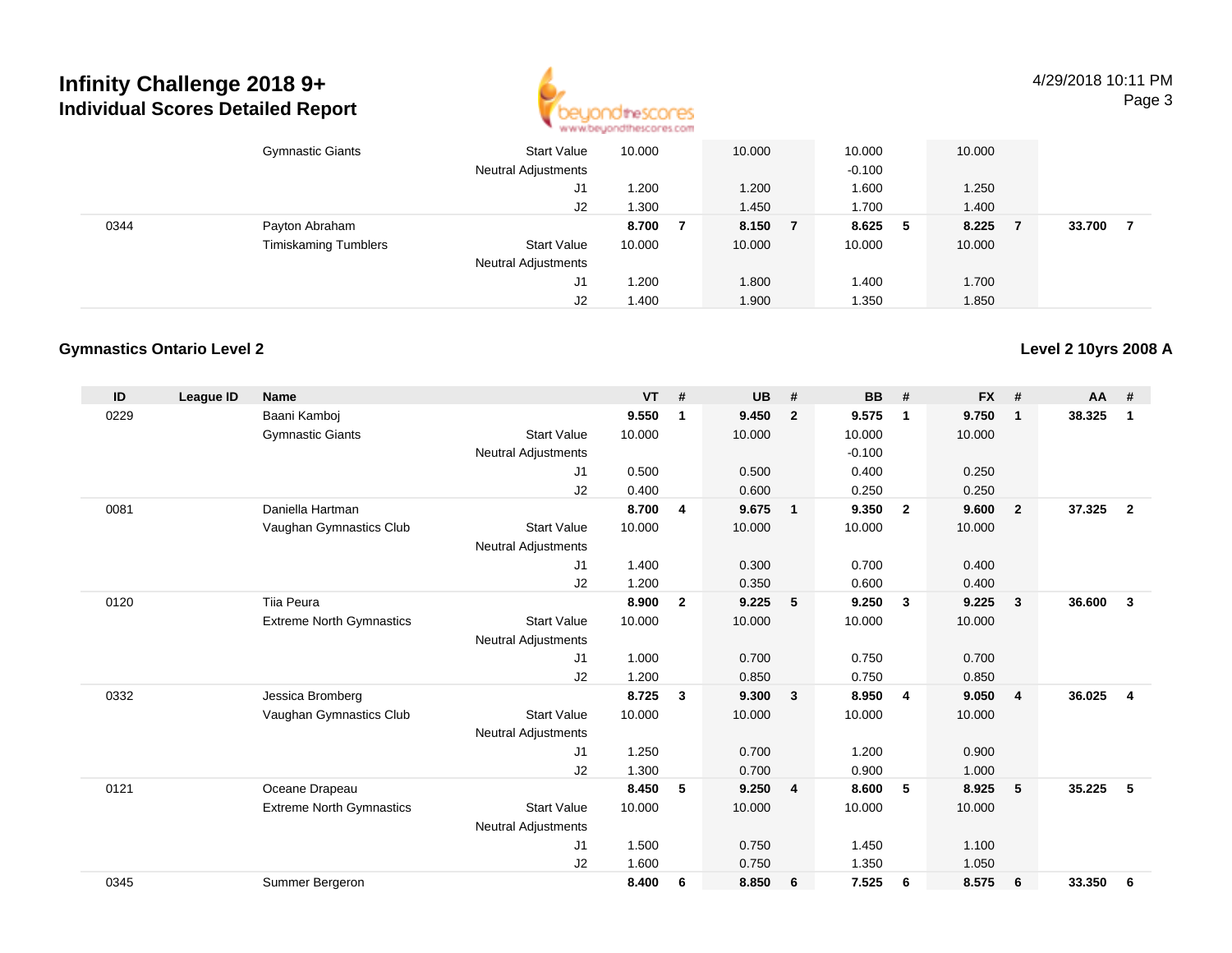

4/29/2018 10:11 PMPage 3

|      | <b>Gymnastic Giants</b>     | <b>Start Value</b><br><b>Neutral Adjustments</b> | 10.000 | 10.000  | 10.000<br>$-0.100$ |    | 10.000 |        |  |
|------|-----------------------------|--------------------------------------------------|--------|---------|--------------------|----|--------|--------|--|
|      |                             | J1                                               | .200   | 1.200   | 1.600              |    | 1.250  |        |  |
|      |                             | J2                                               | .300   | 1.450   | 1.700              |    | 1.400  |        |  |
| 0344 | Payton Abraham              |                                                  | 8.700  | 8.150 7 | 8.625              | -5 | 8.225  | 33.700 |  |
|      | <b>Timiskaming Tumblers</b> | <b>Start Value</b>                               | 10.000 | 10.000  | 10.000             |    | 10.000 |        |  |
|      |                             | <b>Neutral Adjustments</b>                       |        |         |                    |    |        |        |  |
|      |                             | J1                                               | .200   | 1.800   | 1.400              |    | 1.700  |        |  |
|      |                             | J2                                               | 1.400  | 1.900   | 1.350              |    | 1.850  |        |  |

#### **Gymnastics Ontario Level 2**

| ID   | League ID | <b>Name</b>                     |                            | <b>VT</b> | #              | <b>UB</b> | #                       | <b>BB</b> | #              | <b>FX</b> | #              | <b>AA</b> | #              |
|------|-----------|---------------------------------|----------------------------|-----------|----------------|-----------|-------------------------|-----------|----------------|-----------|----------------|-----------|----------------|
| 0229 |           | Baani Kamboj                    |                            | 9.550     | 1              | 9.450     | $\overline{2}$          | 9.575     | $\mathbf 1$    | 9.750     | $\mathbf{1}$   | 38.325    | 1              |
|      |           | <b>Gymnastic Giants</b>         | <b>Start Value</b>         | 10.000    |                | 10.000    |                         | 10.000    |                | 10.000    |                |           |                |
|      |           |                                 | <b>Neutral Adjustments</b> |           |                |           |                         | $-0.100$  |                |           |                |           |                |
|      |           |                                 | J1                         | 0.500     |                | 0.500     |                         | 0.400     |                | 0.250     |                |           |                |
|      |           |                                 | J2                         | 0.400     |                | 0.600     |                         | 0.250     |                | 0.250     |                |           |                |
| 0081 |           | Daniella Hartman                |                            | 8.700     | $\overline{4}$ | 9.675     | $\overline{1}$          | 9.350     | $\overline{2}$ | 9.600     | $\overline{2}$ | 37.325    | $\overline{2}$ |
|      |           | Vaughan Gymnastics Club         | <b>Start Value</b>         | 10.000    |                | 10.000    |                         | 10.000    |                | 10.000    |                |           |                |
|      |           |                                 | <b>Neutral Adjustments</b> |           |                |           |                         |           |                |           |                |           |                |
|      |           |                                 | J1                         | 1.400     |                | 0.300     |                         | 0.700     |                | 0.400     |                |           |                |
|      |           |                                 | J2                         | 1.200     |                | 0.350     |                         | 0.600     |                | 0.400     |                |           |                |
| 0120 |           | Tija Peura                      |                            | 8.900     | $\overline{2}$ | 9.225     | 5                       | 9.250     | $\mathbf{3}$   | 9.225     | $\mathbf{3}$   | 36.600    | $\mathbf{3}$   |
|      |           | <b>Extreme North Gymnastics</b> | <b>Start Value</b>         | 10.000    |                | 10.000    |                         | 10.000    |                | 10.000    |                |           |                |
|      |           |                                 | <b>Neutral Adjustments</b> |           |                |           |                         |           |                |           |                |           |                |
|      |           |                                 | J1                         | 1.000     |                | 0.700     |                         | 0.750     |                | 0.700     |                |           |                |
|      |           |                                 | J2                         | 1.200     |                | 0.850     |                         | 0.750     |                | 0.850     |                |           |                |
| 0332 |           | Jessica Bromberg                |                            | 8.725     | 3              | 9.300     | $\overline{\mathbf{3}}$ | 8.950     | $\overline{4}$ | 9.050     | $\overline{4}$ | 36.025    | 4              |
|      |           | Vaughan Gymnastics Club         | <b>Start Value</b>         | 10.000    |                | 10.000    |                         | 10.000    |                | 10.000    |                |           |                |
|      |           |                                 | <b>Neutral Adjustments</b> |           |                |           |                         |           |                |           |                |           |                |
|      |           |                                 | J1                         | 1.250     |                | 0.700     |                         | 1.200     |                | 0.900     |                |           |                |
|      |           |                                 | J2                         | 1.300     |                | 0.700     |                         | 0.900     |                | 1.000     |                |           |                |
| 0121 |           | Oceane Drapeau                  |                            | 8.450     | 5              | 9.250     | $\overline{4}$          | 8.600     | 5              | 8.925     | 5              | 35.225    | 5              |
|      |           | <b>Extreme North Gymnastics</b> | <b>Start Value</b>         | 10.000    |                | 10.000    |                         | 10.000    |                | 10.000    |                |           |                |
|      |           |                                 | <b>Neutral Adjustments</b> |           |                |           |                         |           |                |           |                |           |                |
|      |           |                                 | J <sub>1</sub>             | 1.500     |                | 0.750     |                         | 1.450     |                | 1.100     |                |           |                |
|      |           |                                 | J2                         | 1.600     |                | 0.750     |                         | 1.350     |                | 1.050     |                |           |                |
| 0345 |           | Summer Bergeron                 |                            | 8.400     | 6              | 8.850     | - 6                     | 7.525     | 6              | 8.575     | 6              | 33.350    | 6              |
|      |           |                                 |                            |           |                |           |                         |           |                |           |                |           |                |

#### **Level 2 10yrs 2008 A**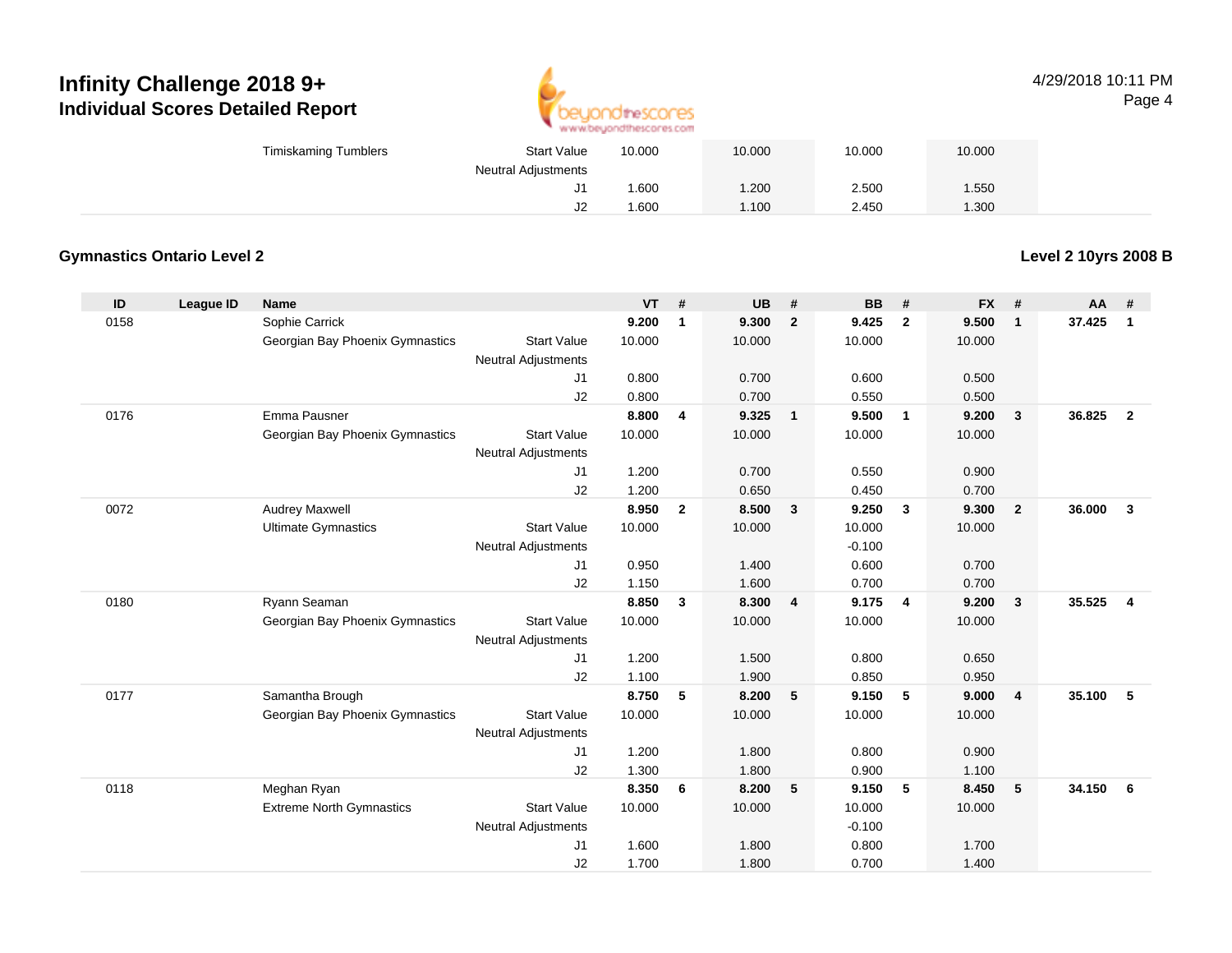

#### 4/29/2018 10:11 PMPage 4

| <b>Timiskaming Tumblers</b> | <b>Start Value</b>         | 10.000 | 10.000 | 10.000 | 10.000 |
|-----------------------------|----------------------------|--------|--------|--------|--------|
|                             | <b>Neutral Adjustments</b> |        |        |        |        |
|                             | J1                         | 006.   | 1.200  | 2.500  | 1.550  |
|                             | J2                         | .600   | .100   | 2.450  | .300   |

#### **Gymnastics Ontario Level 2**

**Level 2 10yrs 2008 B**

| ID   | League ID | <b>Name</b>                     |                            | <b>VT</b> | #            | <b>UB</b> | #              | <b>BB</b> | #                       | <b>FX</b> | #                       | AA     | #              |
|------|-----------|---------------------------------|----------------------------|-----------|--------------|-----------|----------------|-----------|-------------------------|-----------|-------------------------|--------|----------------|
| 0158 |           | Sophie Carrick                  |                            | 9.200     | $\mathbf{1}$ | 9.300     | $\overline{2}$ | 9.425     | $\overline{2}$          | 9.500     | $\mathbf{1}$            | 37.425 | $\mathbf{1}$   |
|      |           | Georgian Bay Phoenix Gymnastics | <b>Start Value</b>         | 10.000    |              | 10.000    |                | 10.000    |                         | 10.000    |                         |        |                |
|      |           |                                 | <b>Neutral Adjustments</b> |           |              |           |                |           |                         |           |                         |        |                |
|      |           |                                 | J1                         | 0.800     |              | 0.700     |                | 0.600     |                         | 0.500     |                         |        |                |
|      |           |                                 | J2                         | 0.800     |              | 0.700     |                | 0.550     |                         | 0.500     |                         |        |                |
| 0176 |           | Emma Pausner                    |                            | 8.800     | 4            | 9.325     | $\mathbf{1}$   | 9.500     | $\overline{\mathbf{1}}$ | 9.200     | $\overline{\mathbf{3}}$ | 36.825 | $\overline{2}$ |
|      |           | Georgian Bay Phoenix Gymnastics | <b>Start Value</b>         | 10.000    |              | 10.000    |                | 10.000    |                         | 10.000    |                         |        |                |
|      |           |                                 | <b>Neutral Adjustments</b> |           |              |           |                |           |                         |           |                         |        |                |
|      |           |                                 | J1                         | 1.200     |              | 0.700     |                | 0.550     |                         | 0.900     |                         |        |                |
|      |           |                                 | J2                         | 1.200     |              | 0.650     |                | 0.450     |                         | 0.700     |                         |        |                |
| 0072 |           | <b>Audrey Maxwell</b>           |                            | 8.950     | $\mathbf{2}$ | 8.500     | $\mathbf{3}$   | 9.250     | $\mathbf{3}$            | 9.300     | $\overline{2}$          | 36.000 | $\mathbf{3}$   |
|      |           | <b>Ultimate Gymnastics</b>      | <b>Start Value</b>         | 10.000    |              | 10.000    |                | 10.000    |                         | 10.000    |                         |        |                |
|      |           |                                 | <b>Neutral Adjustments</b> |           |              |           |                | $-0.100$  |                         |           |                         |        |                |
|      |           |                                 | J <sub>1</sub>             | 0.950     |              | 1.400     |                | 0.600     |                         | 0.700     |                         |        |                |
|      |           |                                 | J2                         | 1.150     |              | 1.600     |                | 0.700     |                         | 0.700     |                         |        |                |
| 0180 |           | Ryann Seaman                    |                            | 8.850     | 3            | 8.300     | 4              | 9.175     | 4                       | 9.200     | $\mathbf{3}$            | 35.525 | $\overline{4}$ |
|      |           | Georgian Bay Phoenix Gymnastics | <b>Start Value</b>         | 10.000    |              | 10.000    |                | 10.000    |                         | 10.000    |                         |        |                |
|      |           |                                 | <b>Neutral Adjustments</b> |           |              |           |                |           |                         |           |                         |        |                |
|      |           |                                 | J1                         | 1.200     |              | 1.500     |                | 0.800     |                         | 0.650     |                         |        |                |
|      |           |                                 | J2                         | 1.100     |              | 1.900     |                | 0.850     |                         | 0.950     |                         |        |                |
| 0177 |           | Samantha Brough                 |                            | 8.750     | 5            | 8.200     | 5              | 9.150     | 5                       | 9.000     | $\overline{4}$          | 35.100 | 5              |
|      |           | Georgian Bay Phoenix Gymnastics | <b>Start Value</b>         | 10.000    |              | 10.000    |                | 10.000    |                         | 10.000    |                         |        |                |
|      |           |                                 | <b>Neutral Adjustments</b> |           |              |           |                |           |                         |           |                         |        |                |
|      |           |                                 | J1                         | 1.200     |              | 1.800     |                | 0.800     |                         | 0.900     |                         |        |                |
|      |           |                                 | J2                         | 1.300     |              | 1.800     |                | 0.900     |                         | 1.100     |                         |        |                |
| 0118 |           | Meghan Ryan                     |                            | 8.350     | 6            | 8.200     | 5              | 9.150     | 5                       | 8.450     | 5                       | 34.150 | 6              |
|      |           | <b>Extreme North Gymnastics</b> | <b>Start Value</b>         | 10.000    |              | 10.000    |                | 10.000    |                         | 10.000    |                         |        |                |
|      |           |                                 | <b>Neutral Adjustments</b> |           |              |           |                | $-0.100$  |                         |           |                         |        |                |
|      |           |                                 | J1                         | 1.600     |              | 1.800     |                | 0.800     |                         | 1.700     |                         |        |                |
|      |           |                                 | J2                         | 1.700     |              | 1.800     |                | 0.700     |                         | 1.400     |                         |        |                |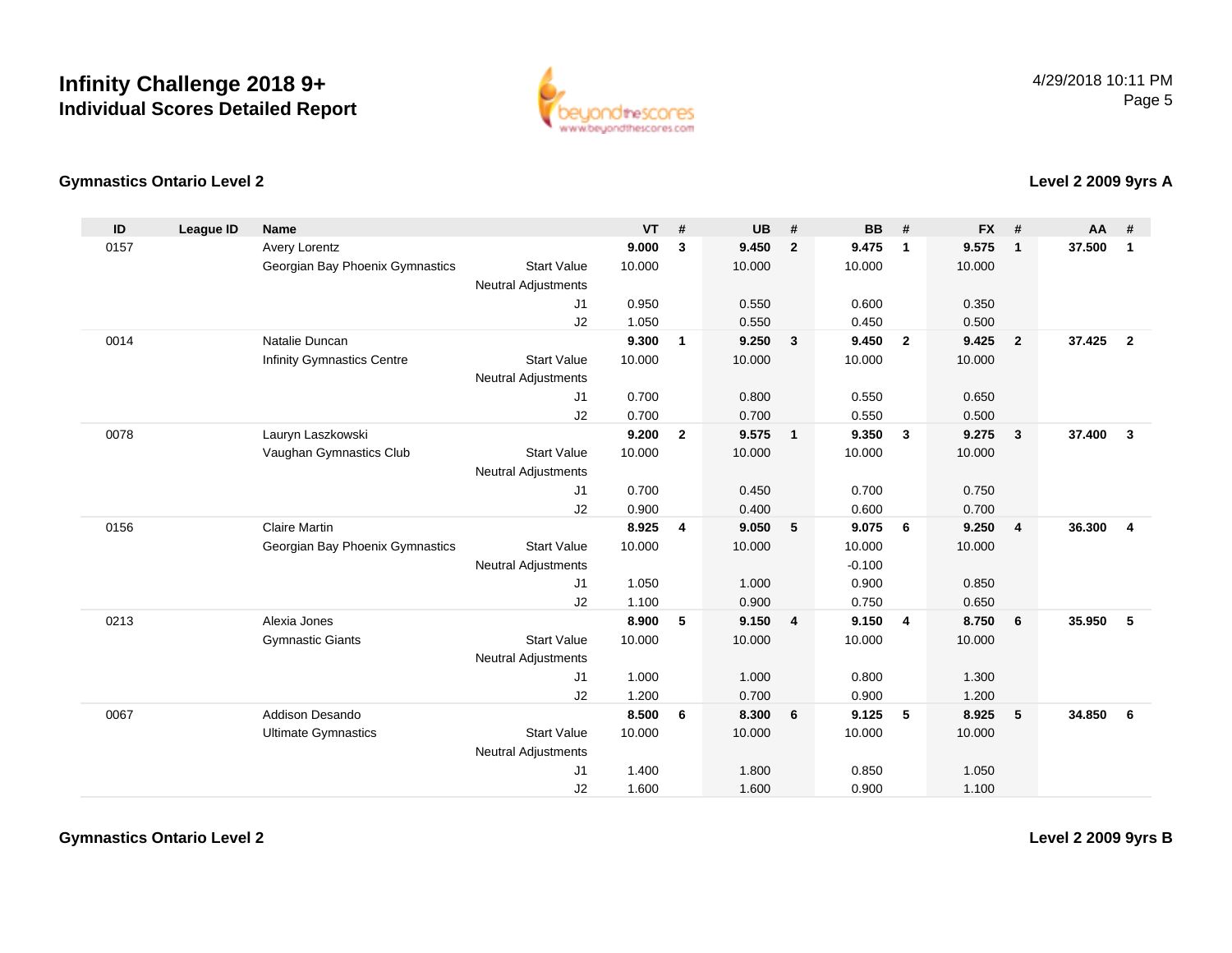

#### **Gymnastics Ontario Level 2**

**Level 2 2009 9yrs A**

| ID   | <b>League ID</b> | <b>Name</b>                     |                            | <b>VT</b> | #              | <b>UB</b> | #                       | <b>BB</b> | #                       | <b>FX</b> | #              | <b>AA</b> | #              |
|------|------------------|---------------------------------|----------------------------|-----------|----------------|-----------|-------------------------|-----------|-------------------------|-----------|----------------|-----------|----------------|
| 0157 |                  | Avery Lorentz                   |                            | 9.000     | 3              | 9.450     | $\overline{2}$          | 9.475     | $\mathbf{1}$            | 9.575     | $\mathbf{1}$   | 37.500    | $\mathbf{1}$   |
|      |                  | Georgian Bay Phoenix Gymnastics | <b>Start Value</b>         | 10.000    |                | 10.000    |                         | 10.000    |                         | 10.000    |                |           |                |
|      |                  |                                 | <b>Neutral Adjustments</b> |           |                |           |                         |           |                         |           |                |           |                |
|      |                  |                                 | J1                         | 0.950     |                | 0.550     |                         | 0.600     |                         | 0.350     |                |           |                |
|      |                  |                                 | J2                         | 1.050     |                | 0.550     |                         | 0.450     |                         | 0.500     |                |           |                |
| 0014 |                  | Natalie Duncan                  |                            | 9.300     | $\mathbf{1}$   | 9.250     | $\overline{\mathbf{3}}$ | 9.450     | $\overline{\mathbf{2}}$ | 9.425     | $\overline{2}$ | 37.425    | $\overline{2}$ |
|      |                  | Infinity Gymnastics Centre      | <b>Start Value</b>         | 10.000    |                | 10.000    |                         | 10.000    |                         | 10.000    |                |           |                |
|      |                  |                                 | <b>Neutral Adjustments</b> |           |                |           |                         |           |                         |           |                |           |                |
|      |                  |                                 | J1                         | 0.700     |                | 0.800     |                         | 0.550     |                         | 0.650     |                |           |                |
|      |                  |                                 | J2                         | 0.700     |                | 0.700     |                         | 0.550     |                         | 0.500     |                |           |                |
| 0078 |                  | Lauryn Laszkowski               |                            | 9.200     | $\overline{2}$ | 9.575     | $\overline{\mathbf{1}}$ | 9.350     | $\mathbf{3}$            | 9.275     | $\mathbf{3}$   | 37,400    | $\mathbf{3}$   |
|      |                  | Vaughan Gymnastics Club         | <b>Start Value</b>         | 10.000    |                | 10.000    |                         | 10.000    |                         | 10.000    |                |           |                |
|      |                  |                                 | <b>Neutral Adjustments</b> |           |                |           |                         |           |                         |           |                |           |                |
|      |                  |                                 | J1                         | 0.700     |                | 0.450     |                         | 0.700     |                         | 0.750     |                |           |                |
|      |                  |                                 | J2                         | 0.900     |                | 0.400     |                         | 0.600     |                         | 0.700     |                |           |                |
| 0156 |                  | <b>Claire Martin</b>            |                            | 8.925     | 4              | 9.050     | 5                       | 9.075     | 6                       | 9.250     | $\overline{4}$ | 36.300    | $\overline{4}$ |
|      |                  | Georgian Bay Phoenix Gymnastics | <b>Start Value</b>         | 10.000    |                | 10.000    |                         | 10.000    |                         | 10.000    |                |           |                |
|      |                  |                                 | <b>Neutral Adjustments</b> |           |                |           |                         | $-0.100$  |                         |           |                |           |                |
|      |                  |                                 | J1                         | 1.050     |                | 1.000     |                         | 0.900     |                         | 0.850     |                |           |                |
|      |                  |                                 | J2                         | 1.100     |                | 0.900     |                         | 0.750     |                         | 0.650     |                |           |                |
| 0213 |                  | Alexia Jones                    |                            | 8.900     | 5              | 9.150     | $\overline{4}$          | 9.150     | $\overline{4}$          | 8.750     | 6              | 35.950    | -5             |
|      |                  | <b>Gymnastic Giants</b>         | <b>Start Value</b>         | 10.000    |                | 10.000    |                         | 10.000    |                         | 10.000    |                |           |                |
|      |                  |                                 | <b>Neutral Adjustments</b> |           |                |           |                         |           |                         |           |                |           |                |
|      |                  |                                 | J1                         | 1.000     |                | 1.000     |                         | 0.800     |                         | 1.300     |                |           |                |
|      |                  |                                 | J2                         | 1.200     |                | 0.700     |                         | 0.900     |                         | 1.200     |                |           |                |
| 0067 |                  | Addison Desando                 |                            | 8.500     | 6              | 8.300     | 6                       | 9.125     | 5                       | 8.925     | 5              | 34.850    | 6              |
|      |                  | <b>Ultimate Gymnastics</b>      | <b>Start Value</b>         | 10.000    |                | 10.000    |                         | 10.000    |                         | 10.000    |                |           |                |
|      |                  |                                 | <b>Neutral Adjustments</b> |           |                |           |                         |           |                         |           |                |           |                |
|      |                  |                                 | J1                         | 1.400     |                | 1.800     |                         | 0.850     |                         | 1.050     |                |           |                |
|      |                  |                                 | J2                         | 1.600     |                | 1.600     |                         | 0.900     |                         | 1.100     |                |           |                |